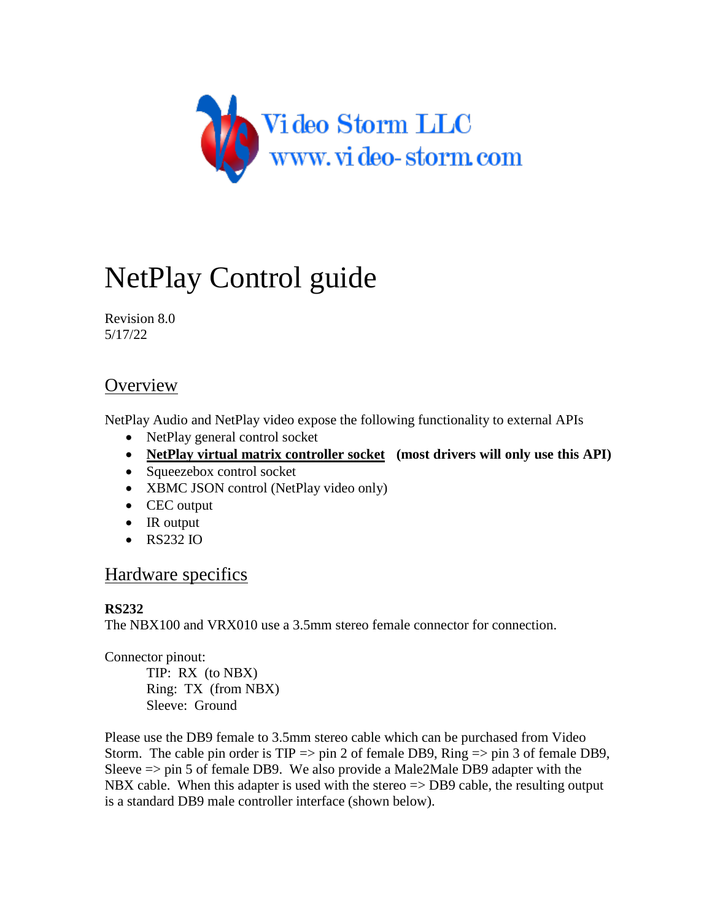

# NetPlay Control guide

Revision 8.0 5/17/22

# **Overview**

NetPlay Audio and NetPlay video expose the following functionality to external APIs

- NetPlay general control socket
- **NetPlay virtual matrix controller socket (most drivers will only use this API)**
- Squeezebox control socket
- XBMC JSON control (NetPlay video only)
- CEC output
- $\bullet$  IR output
- RS232 IO

# Hardware specifics

# **RS232**

The NBX100 and VRX010 use a 3.5mm stereo female connector for connection.

Connector pinout:

TIP: RX (to NBX) Ring: TX (from NBX) Sleeve: Ground

Please use the DB9 female to 3.5mm stereo cable which can be purchased from Video Storm. The cable pin order is  $TIP \Rightarrow \pi r$  2 of female DB9, Ring  $\Rightarrow \pi r$  3 of female DB9, Sleeve  $\Rightarrow$  pin 5 of female DB9. We also provide a Male2Male DB9 adapter with the NBX cable. When this adapter is used with the stereo  $\Rightarrow$  DB9 cable, the resulting output is a standard DB9 male controller interface (shown below).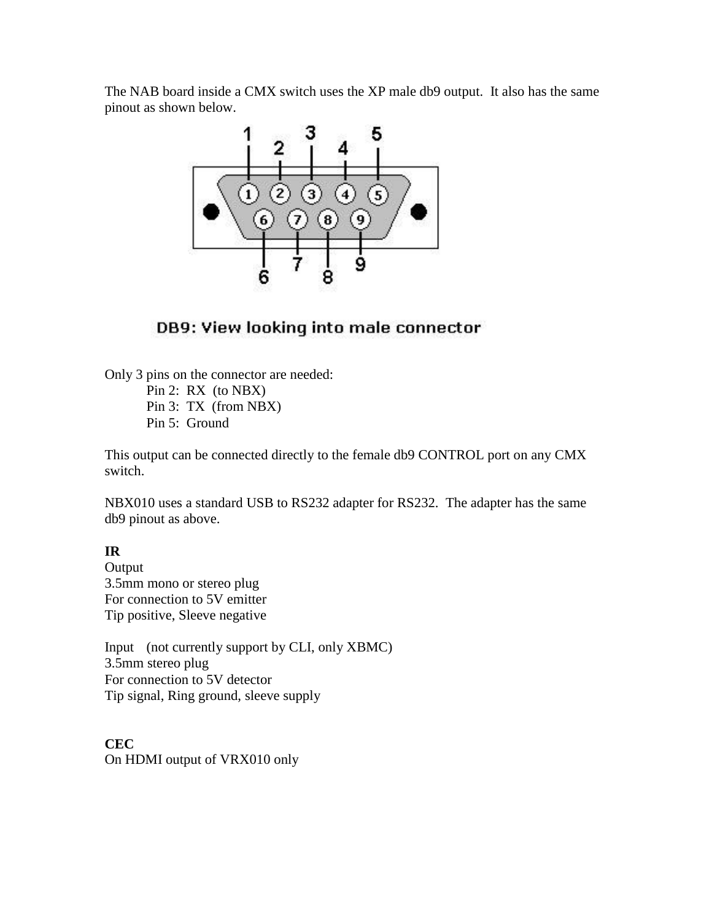The NAB board inside a CMX switch uses the XP male db9 output. It also has the same pinout as shown below.



# DB9: View looking into male connector

Only 3 pins on the connector are needed:

Pin 2: RX (to NBX) Pin 3: TX (from NBX) Pin 5: Ground

This output can be connected directly to the female db9 CONTROL port on any CMX switch.

NBX010 uses a standard USB to RS232 adapter for RS232. The adapter has the same db9 pinout as above.

## **IR**

**Output** 3.5mm mono or stereo plug For connection to 5V emitter Tip positive, Sleeve negative

Input (not currently support by CLI, only XBMC) 3.5mm stereo plug For connection to 5V detector Tip signal, Ring ground, sleeve supply

**CEC** On HDMI output of VRX010 only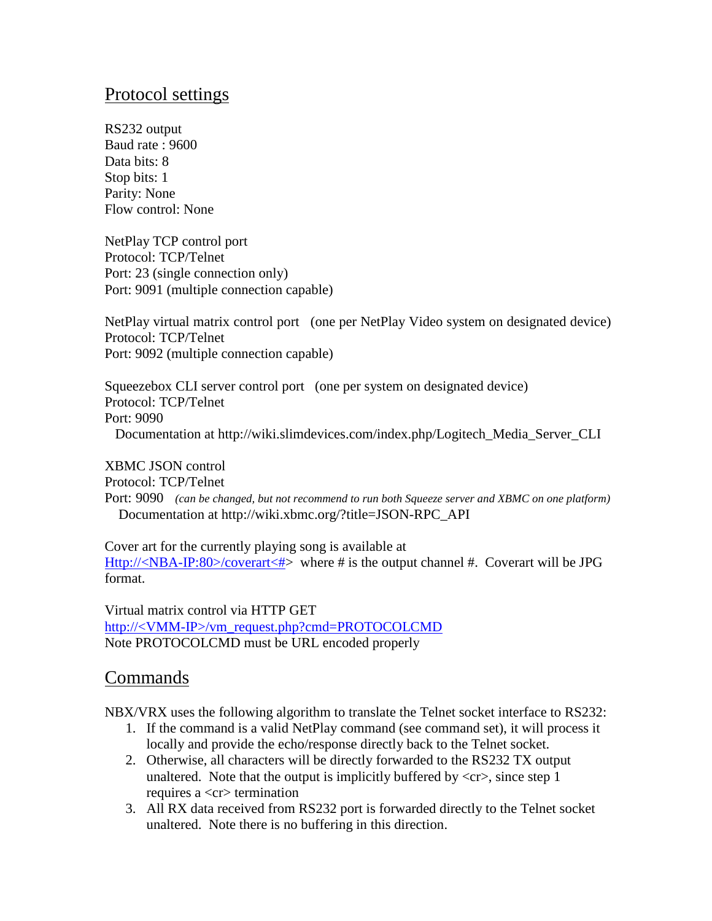# Protocol settings

RS232 output Baud rate : 9600 Data bits: 8 Stop bits: 1 Parity: None Flow control: None

NetPlay TCP control port Protocol: TCP/Telnet Port: 23 (single connection only) Port: 9091 (multiple connection capable)

NetPlay virtual matrix control port (one per NetPlay Video system on designated device) Protocol: TCP/Telnet Port: 9092 (multiple connection capable)

Squeezebox CLI server control port (one per system on designated device) Protocol: TCP/Telnet Port: 9090 Documentation at http://wiki.slimdevices.com/index.php/Logitech\_Media\_Server\_CLI

XBMC JSON control Protocol: TCP/Telnet Port: 9090 *(can be changed, but not recommend to run both Squeeze server and XBMC on one platform)* Documentation at http://wiki.xbmc.org/?title=JSON-RPC\_API

Cover art for the currently playing song is available at Http://<NBA-IP:80>/coverart<#> where # is the output channel #. Coverart will be JPG format.

Virtual matrix control via HTTP GET http://<VMM-IP>/vm\_request.php?cmd=PROTOCOLCMD Note PROTOCOLCMD must be URL encoded properly

# Commands

NBX/VRX uses the following algorithm to translate the Telnet socket interface to RS232:

- 1. If the command is a valid NetPlay command (see command set), it will process it locally and provide the echo/response directly back to the Telnet socket.
- 2. Otherwise, all characters will be directly forwarded to the RS232 TX output unaltered. Note that the output is implicitly buffered by  $\langle cr \rangle$ , since step 1 requires a  $\langle cr \rangle$  termination
- 3. All RX data received from RS232 port is forwarded directly to the Telnet socket unaltered. Note there is no buffering in this direction.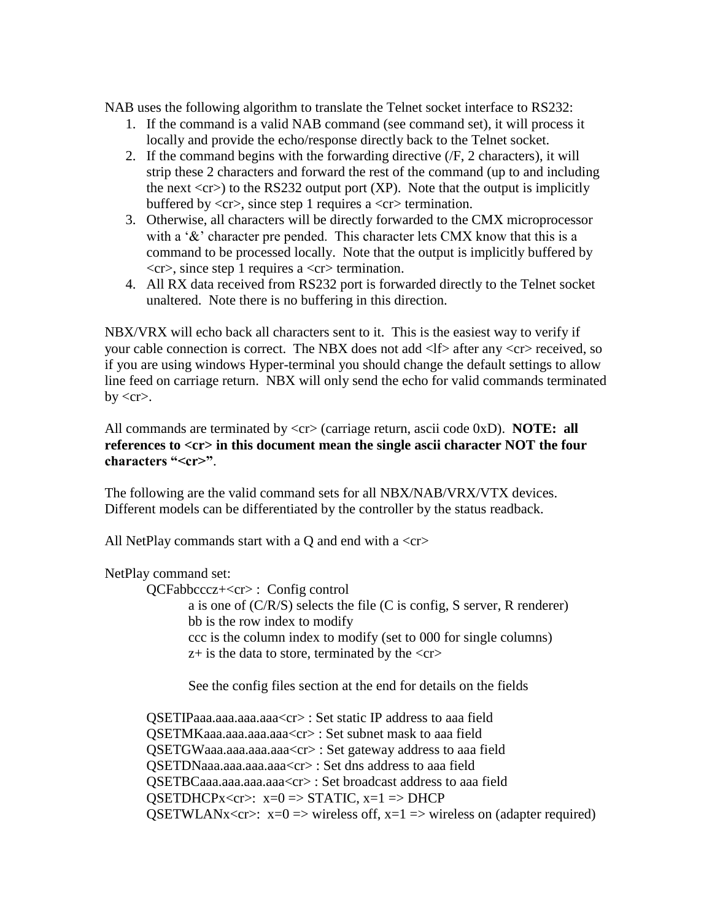NAB uses the following algorithm to translate the Telnet socket interface to RS232:

- 1. If the command is a valid NAB command (see command set), it will process it locally and provide the echo/response directly back to the Telnet socket.
- 2. If the command begins with the forwarding directive (/F, 2 characters), it will strip these 2 characters and forward the rest of the command (up to and including the next  $\langle$ cr $\rangle$ ) to the RS232 output port (XP). Note that the output is implicitly buffered by  $\langle cr \rangle$ , since step 1 requires a  $\langle cr \rangle$  termination.
- 3. Otherwise, all characters will be directly forwarded to the CMX microprocessor with a '&' character pre pended. This character lets CMX know that this is a command to be processed locally. Note that the output is implicitly buffered by  $\langle cr \rangle$ , since step 1 requires a  $\langle cr \rangle$  termination.
- 4. All RX data received from RS232 port is forwarded directly to the Telnet socket unaltered. Note there is no buffering in this direction.

NBX/VRX will echo back all characters sent to it. This is the easiest way to verify if your cable connection is correct. The NBX does not add  $\langle$  after any  $\langle$  cr> received, so if you are using windows Hyper-terminal you should change the default settings to allow line feed on carriage return. NBX will only send the echo for valid commands terminated  $by < c r$ .

All commands are terminated by <cr> (carriage return, ascii code 0xD). **NOTE: all**  references to  $\langle cr \rangle$  in this document mean the single ascii character NOT the four **characters "<cr>"**.

The following are the valid command sets for all NBX/NAB/VRX/VTX devices. Different models can be differentiated by the controller by the status readback.

All NetPlay commands start with a  $Q$  and end with a  $\langle cr \rangle$ 

## NetPlay command set:

QCFabbcccz+<cr> : Config control

a is one of (C/R/S) selects the file (C is config, S server, R renderer) bb is the row index to modify ccc is the column index to modify (set to 000 for single columns)  $z+$  is the data to store, terminated by the  $\langle cr \rangle$ 

See the config files section at the end for details on the fields

QSETIPaaa.aaa.aaa.aaa<cr> : Set static IP address to aaa field QSETMKaaa.aaa.aaa.aaa<cr> : Set subnet mask to aaa field QSETGWaaa.aaa.aaa.aaa<cr> : Set gateway address to aaa field QSETDNaaa.aaa.aaa.aaa<cr> : Set dns address to aaa field QSETBCaaa.aaa.aaa.aaa<cr> : Set broadcast address to aaa field  $QSETDHCPx < cr>; x=0 \Rightarrow STATIC, x=1 \Rightarrow DHCP$ QSETWLANx<cr> $\ge$ : x=0 => wireless off, x=1 => wireless on (adapter required)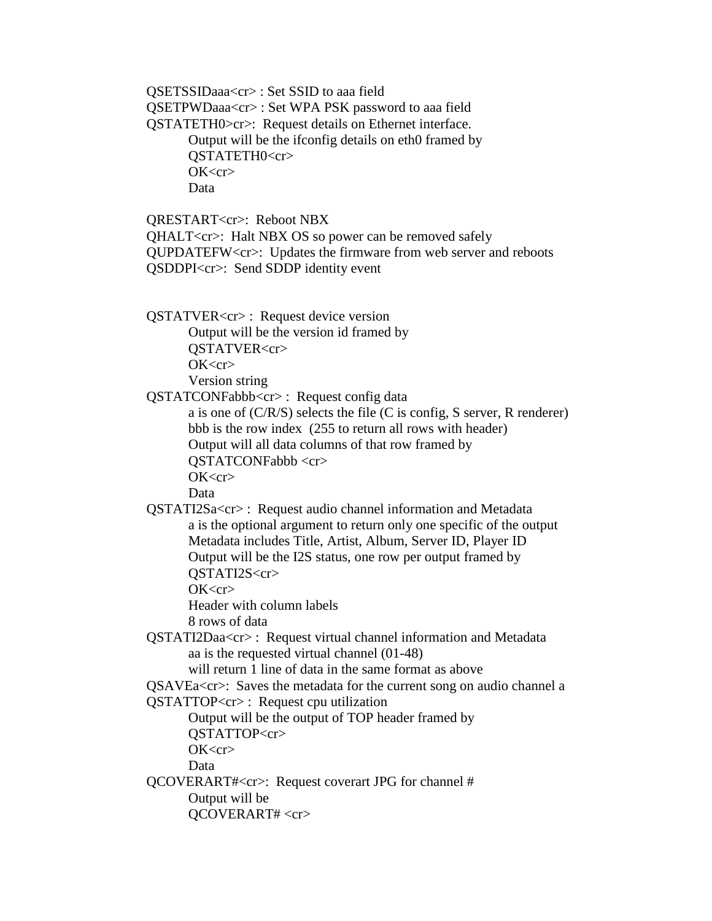QSETSSIDaaa<cr> : Set SSID to aaa field QSETPWDaaa<cr> : Set WPA PSK password to aaa field QSTATETH0>cr>: Request details on Ethernet interface. Output will be the ifconfig details on eth0 framed by QSTATETH0<cr>  $OK < c r$ Data QRESTART<cr>: Reboot NBX

QHALT<cr>: Halt NBX OS so power can be removed safely QUPDATEFW<cr>: Updates the firmware from web server and reboots QSDDPI<cr>: Send SDDP identity event

QSTATVER<cr> : Request device version Output will be the version id framed by QSTATVER<cr>  $OK < c r$ Version string

QSTATCONFabbb<cr> : Request config data

a is one of (C/R/S) selects the file (C is config, S server, R renderer) bbb is the row index (255 to return all rows with header) Output will all data columns of that row framed by QSTATCONFabbb <cr>  $OK < c r$ 

Data

QSTATI2Sa<cr> : Request audio channel information and Metadata a is the optional argument to return only one specific of the output Metadata includes Title, Artist, Album, Server ID, Player ID Output will be the I2S status, one row per output framed by OSTATI2S<cr>

OK<cr>

Header with column labels

8 rows of data

QSTATI2Daa<cr> : Request virtual channel information and Metadata aa is the requested virtual channel (01-48)

will return 1 line of data in the same format as above

QSAVEa<cr>: Saves the metadata for the current song on audio channel a

QSTATTOP<cr> : Request cpu utilization

Output will be the output of TOP header framed by

QSTATTOP<cr>

 $OK < c r$ 

Data

QCOVERART#<cr>: Request coverart JPG for channel # Output will be

QCOVERART# <cr>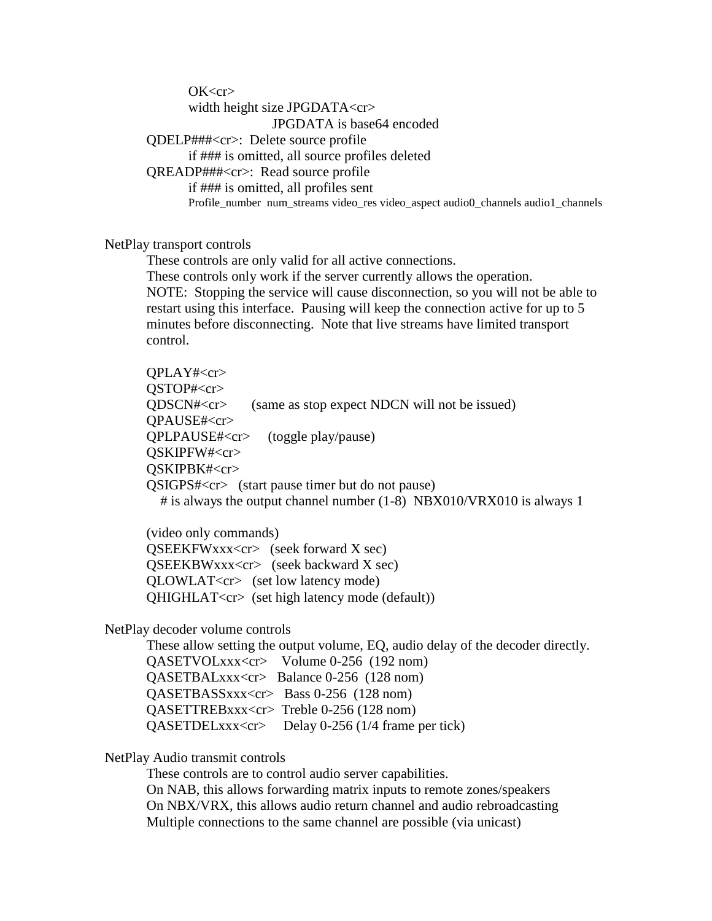$OK < c r$ width height size JPGDATA<cr> JPGDATA is base64 encoded QDELP###<cr>: Delete source profile if ### is omitted, all source profiles deleted QREADP###<cr>: Read source profile if ### is omitted, all profiles sent Profile\_number\_num\_streams video\_res video\_aspect audio0\_channels audio1\_channels

NetPlay transport controls

These controls are only valid for all active connections. These controls only work if the server currently allows the operation. NOTE: Stopping the service will cause disconnection, so you will not be able to restart using this interface. Pausing will keep the connection active for up to 5 minutes before disconnecting. Note that live streams have limited transport control.

QPLAY#<cr> QSTOP#<cr> QDSCN#<cr> (same as stop expect NDCN will not be issued) QPAUSE#<cr> QPLPAUSE#<cr> (toggle play/pause) QSKIPFW#<cr> QSKIPBK#<cr> QSIGPS#<cr> (start pause timer but do not pause) # is always the output channel number (1-8) NBX010/VRX010 is always 1

 (video only commands)  $QSEEKFWxx < cr$  (seek forward X sec) QSEEKBWxxx<cr> (seek backward X sec) QLOWLAT<cr> (set low latency mode) QHIGHLAT<cr> (set high latency mode (default))

NetPlay decoder volume controls

These allow setting the output volume, EQ, audio delay of the decoder directly. QASETVOLxxx<cr> Volume 0-256 (192 nom) QASETBALxxx<cr> Balance 0-256 (128 nom) QASETBASSxxx<cr> Bass 0-256 (128 nom) QASETTREBxxx<cr> Treble 0-256 (128 nom) QASETDELxxx<cr> Delay 0-256 (1/4 frame per tick)

NetPlay Audio transmit controls

These controls are to control audio server capabilities.

On NAB, this allows forwarding matrix inputs to remote zones/speakers On NBX/VRX, this allows audio return channel and audio rebroadcasting Multiple connections to the same channel are possible (via unicast)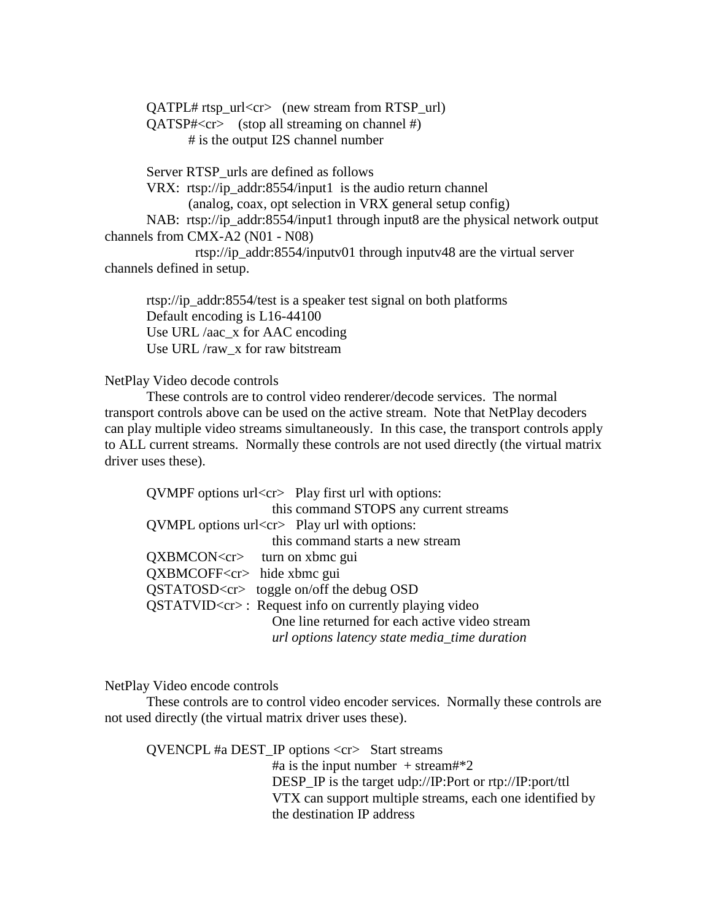QATPL# rtsp\_url<cr> (new stream from RTSP\_url) QATSP#<cr> (stop all streaming on channel #) # is the output I2S channel number

Server RTSP\_urls are defined as follows VRX: rtsp://ip\_addr:8554/input1 is the audio return channel (analog, coax, opt selection in VRX general setup config) NAB: rtsp://ip\_addr:8554/input1 through input8 are the physical network output channels from CMX-A2 (N01 - N08) rtsp://ip\_addr:8554/inputv01 through inputv48 are the virtual server channels defined in setup.

rtsp://ip\_addr:8554/test is a speaker test signal on both platforms Default encoding is L16-44100 Use URL /aac\_x for AAC encoding Use URL /raw\_x for raw bitstream

NetPlay Video decode controls

These controls are to control video renderer/decode services. The normal transport controls above can be used on the active stream. Note that NetPlay decoders can play multiple video streams simultaneously. In this case, the transport controls apply to ALL current streams. Normally these controls are not used directly (the virtual matrix driver uses these).

 $QVMPF$  options  $url < c$  Play first url with options: this command STOPS any current streams  $\text{OVMPL}$  options url $\text{cr}$  Play url with options: this command starts a new stream QXBMCON<cr>turn on xbmc gui QXBMCOFF<cr> hide xbmc gui QSTATOSD<cr> toggle on/off the debug OSD QSTATVID<cr> : Request info on currently playing video One line returned for each active video stream *url options latency state media\_time duration*

NetPlay Video encode controls

These controls are to control video encoder services. Normally these controls are not used directly (the virtual matrix driver uses these).

QVENCPL #a DEST\_IP options <cr>Start streams #a is the input number  $+$  stream#\*2 DESP\_IP is the target udp://IP:Port or rtp://IP:port/ttl VTX can support multiple streams, each one identified by the destination IP address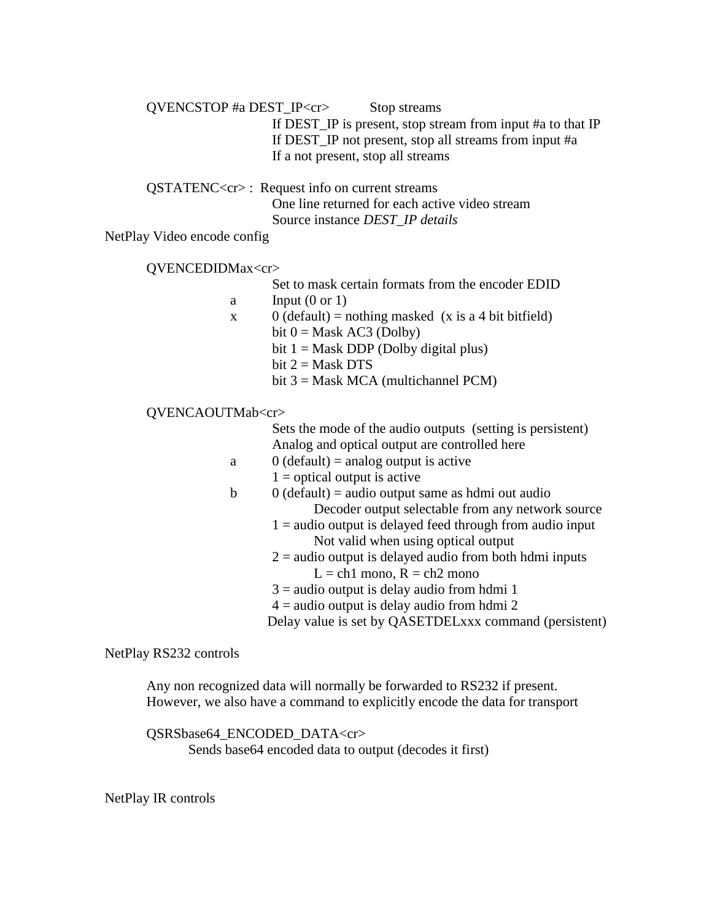QVENCSTOP #a DEST\_IP<cr>Stop streams If DEST\_IP is present, stop stream from input #a to that IP If DEST\_IP not present, stop all streams from input #a If a not present, stop all streams

QSTATENC<cr> : Request info on current streams One line returned for each active video stream Source instance *DEST\_IP details*

NetPlay Video encode config

QVENCEDIDMax<cr>

Set to mask certain formats from the encoder EDID

a Input  $(0 \text{ or } 1)$ 

- x 0 (default) = nothing masked (x is a 4 bit bitfield)
	- bit  $0 = \text{Mask AC3 (Dolby)}$ 
		- bit  $1 =$  Mask DDP (Dolby digital plus)
	- bit  $2 =$  Mask DTS
	- bit 3 = Mask MCA (multichannel PCM)

#### QVENCAOUTMab<cr>

| Sets the mode of the audio outputs (setting is persistent) |
|------------------------------------------------------------|
| Analog and optical output are controlled here              |

- a  $0$  (default) = analog output is active
- $1$  = optical output is active
- $\phi$  0 (default) = audio output same as hdmi out audio Decoder output selectable from any network source
	- $1 =$  audio output is delayed feed through from audio input Not valid when using optical output
	- $2 =$  audio output is delayed audio from both hdmi inputs  $L = ch1$  mono,  $R = ch2$  mono
	- $3 =$  audio output is delay audio from hdmi 1
	- $4 =$  audio output is delay audio from hdmi 2
	- Delay value is set by QASETDELxxx command (persistent)

NetPlay RS232 controls

Any non recognized data will normally be forwarded to RS232 if present. However, we also have a command to explicitly encode the data for transport

QSRSbase64\_ENCODED\_DATA<cr> Sends base64 encoded data to output (decodes it first)

NetPlay IR controls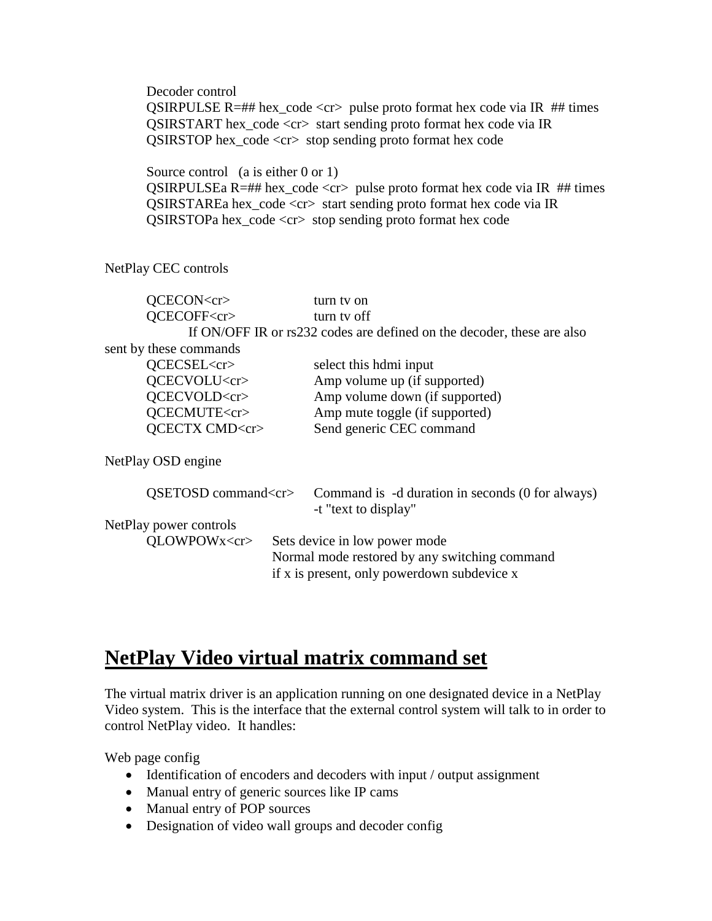Decoder control QSIRPULSE R=## hex\_code <cr> pulse proto format hex code via IR  $#$ # times QSIRSTART hex\_code <cr> start sending proto format hex code via IR QSIRSTOP hex\_code <cr> stop sending proto format hex code

Source control (a is either 0 or 1) QSIRPULSEa R=## hex\_code <cr> pulse proto format hex code via IR ## times QSIRSTAREa hex\_code <cr> start sending proto format hex code via IR

QSIRSTOPa hex\_code <cr> stop sending proto format hex code

NetPlay CEC controls

| QCECON <cr></cr>                       |  | turn tv on                                                               |
|----------------------------------------|--|--------------------------------------------------------------------------|
| QCECOFF <cr></cr>                      |  | turn ty off                                                              |
|                                        |  | If ON/OFF IR or rs232 codes are defined on the decoder, these are also   |
| sent by these commands                 |  |                                                                          |
| QCECSEL <cr></cr>                      |  | select this hdmi input                                                   |
| QCECVOLU <cr></cr>                     |  | Amp volume up (if supported)                                             |
| QCECVOLD <cr></cr>                     |  | Amp volume down (if supported)                                           |
| QCECMUTE <cr></cr>                     |  | Amp mute toggle (if supported)                                           |
| QCECTX CMD <cr></cr>                   |  | Send generic CEC command                                                 |
| NetPlay OSD engine                     |  |                                                                          |
| $OSETOSD$ command $\langle cr \rangle$ |  | Command is -d duration in seconds (0 for always)<br>-t "text to display" |
| NetPlay power controls                 |  |                                                                          |
| QLOWPOWx <cr></cr>                     |  | Sets device in low power mode                                            |
|                                        |  | Normal mode restored by any switching command                            |
|                                        |  | if x is present, only powerdown subdevice x                              |

# **NetPlay Video virtual matrix command set**

The virtual matrix driver is an application running on one designated device in a NetPlay Video system. This is the interface that the external control system will talk to in order to control NetPlay video. It handles:

Web page config

- Identification of encoders and decoders with input / output assignment
- Manual entry of generic sources like IP cams
- Manual entry of POP sources
- Designation of video wall groups and decoder config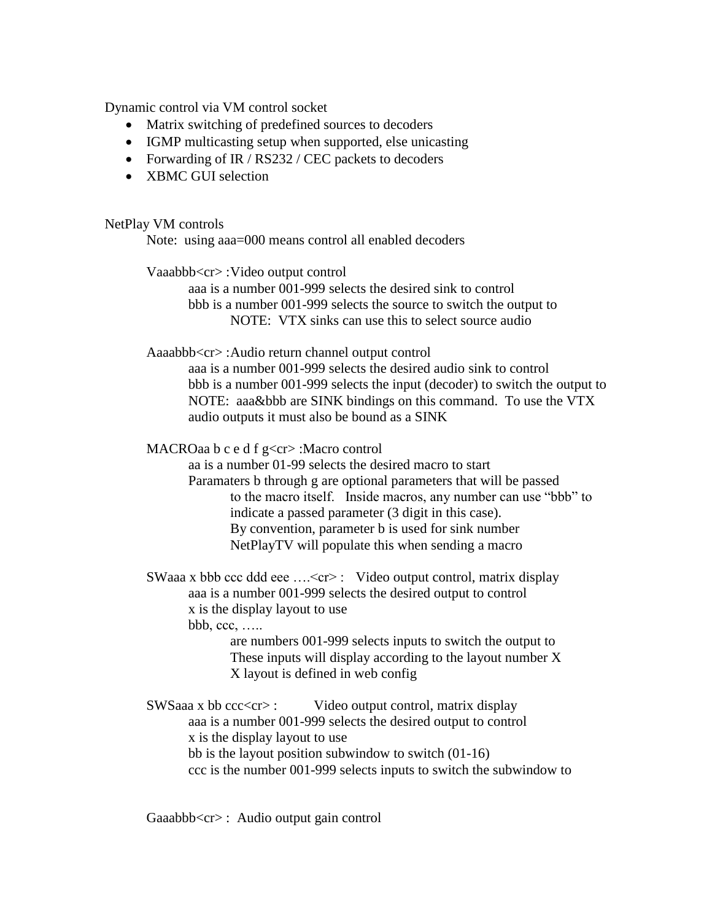Dynamic control via VM control socket

- Matrix switching of predefined sources to decoders
- IGMP multicasting setup when supported, else unicasting
- Forwarding of IR / RS232 / CEC packets to decoders
- XBMC GUI selection

NetPlay VM controls

Note: using aaa=000 means control all enabled decoders

Vaaabbb<cr> :Video output control

aaa is a number 001-999 selects the desired sink to control bbb is a number 001-999 selects the source to switch the output to NOTE: VTX sinks can use this to select source audio

Aaaabbb<cr> :Audio return channel output control

aaa is a number 001-999 selects the desired audio sink to control bbb is a number 001-999 selects the input (decoder) to switch the output to NOTE: aaa&bbb are SINK bindings on this command. To use the VTX audio outputs it must also be bound as a SINK

MACROaa b c e d f g<cr> :Macro control

aa is a number 01-99 selects the desired macro to start

Paramaters b through g are optional parameters that will be passed to the macro itself. Inside macros, any number can use "bbb" to indicate a passed parameter (3 digit in this case). By convention, parameter b is used for sink number NetPlayTV will populate this when sending a macro

SWaaa x bbb ccc ddd eee ....<cr> : Video output control, matrix display aaa is a number 001-999 selects the desired output to control x is the display layout to use bbb, ccc, …..

> are numbers 001-999 selects inputs to switch the output to These inputs will display according to the layout number X X layout is defined in web config

 $SWSaaa x$  bb  $ccc < c \rightharpoonup$ : Video output control, matrix display aaa is a number 001-999 selects the desired output to control x is the display layout to use bb is the layout position subwindow to switch (01-16) ccc is the number 001-999 selects inputs to switch the subwindow to

Gaaabbb<cr> : Audio output gain control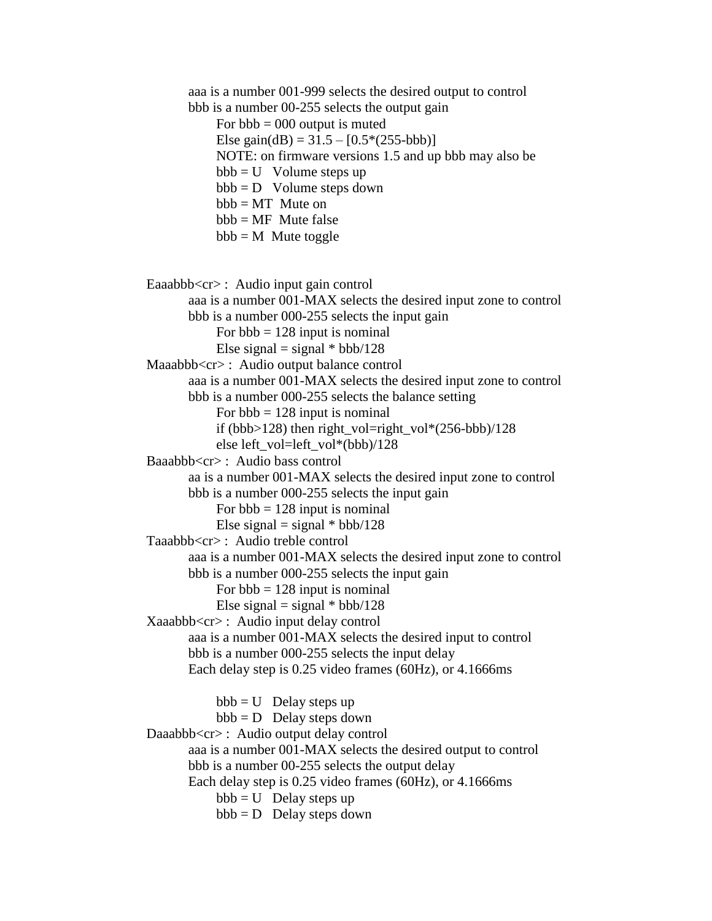aaa is a number 001-999 selects the desired output to control bbb is a number 00-255 selects the output gain For  $bbb = 000$  output is muted Else gain(dB) =  $31.5 - [0.5*(255-bbb)]$  NOTE: on firmware versions 1.5 and up bbb may also be  $bbb = U$  Volume steps up  $bbb = D$  Volume steps down  $bbb = MT$  Mute on  $bbb = MF$  Mute false  $bbb = M$  Mute toggle Eaaabbb<cr>: Audio input gain control aaa is a number 001-MAX selects the desired input zone to control bbb is a number 000-255 selects the input gain For  $bbb = 128$  input is nominal Else signal = signal  $*$  bbb/128 Maaabbb<cr> : Audio output balance control aaa is a number 001-MAX selects the desired input zone to control bbb is a number 000-255 selects the balance setting For  $bbb = 128$  input is nominal if (bbb>128) then right vol=right vol\*(256-bbb)/128 else left\_vol=left\_vol\*(bbb)/128 Baaabbb<cr> : Audio bass control aa is a number 001-MAX selects the desired input zone to control bbb is a number 000-255 selects the input gain For  $bbb = 128$  input is nominal Else signal = signal  $*$  bbb/128 Taaabbb<cr> : Audio treble control aaa is a number 001-MAX selects the desired input zone to control bbb is a number 000-255 selects the input gain For  $bbb = 128$  input is nominal Else signal = signal  $*$  bbb/128 Xaaabbb<cr> : Audio input delay control aaa is a number 001-MAX selects the desired input to control bbb is a number 000-255 selects the input delay Each delay step is 0.25 video frames (60Hz), or 4.1666ms  $bbb = U$  Delay steps up  $bbb = D$  Delay steps down Daaabbb<cr>: Audio output delay control aaa is a number 001-MAX selects the desired output to control bbb is a number 00-255 selects the output delay Each delay step is 0.25 video frames (60Hz), or 4.1666ms  $bbb = U$  Delay steps up  $bbb = D$  Delay steps down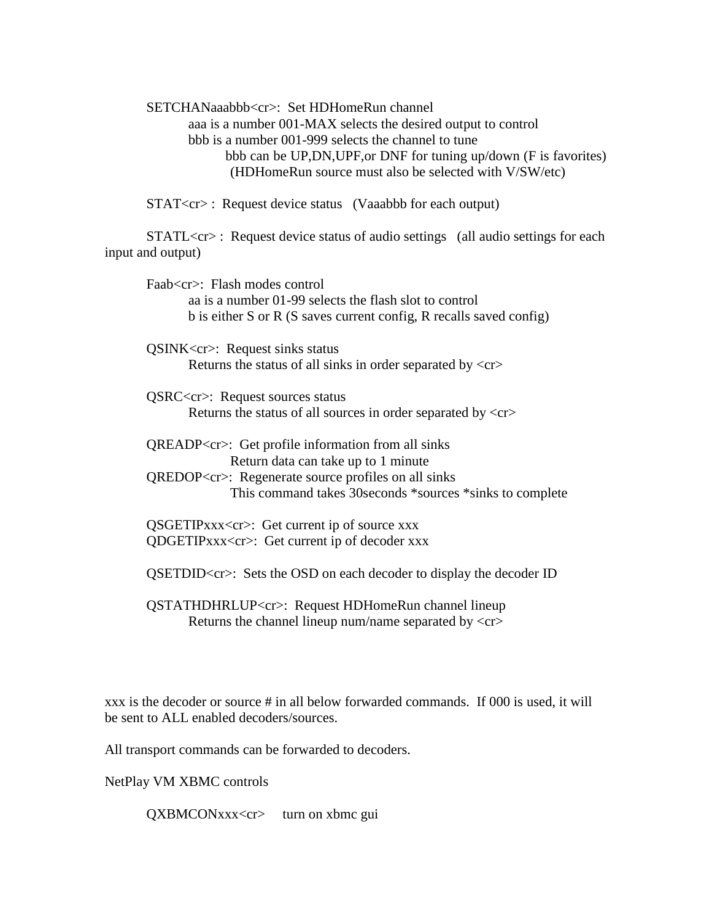SETCHANaaabbb<cr>: Set HDHomeRun channel aaa is a number 001-MAX selects the desired output to control bbb is a number 001-999 selects the channel to tune bbb can be UP,DN,UPF,or DNF for tuning up/down (F is favorites) (HDHomeRun source must also be selected with V/SW/etc)

STAT<cr> : Request device status (Vaaabbb for each output)

STATL<cr> : Request device status of audio settings (all audio settings for each input and output)

Faab<cr>: Flash modes control aa is a number 01-99 selects the flash slot to control b is either S or R (S saves current config, R recalls saved config)

QSINK<cr>: Request sinks status Returns the status of all sinks in order separated by  $\langle cr \rangle$ 

QSRC<cr>: Request sources status Returns the status of all sources in order separated by  $\langle cr \rangle$ 

QREADP<cr>: Get profile information from all sinks Return data can take up to 1 minute QREDOP<cr>: Regenerate source profiles on all sinks This command takes 30seconds \*sources \*sinks to complete

QSGETIPxxx<cr>: Get current ip of source xxx QDGETIPxxx<cr>: Get current ip of decoder xxx

QSETDID<cr>: Sets the OSD on each decoder to display the decoder ID

QSTATHDHRLUP<cr>: Request HDHomeRun channel lineup Returns the channel lineup num/name separated by  $\langle cr \rangle$ 

xxx is the decoder or source # in all below forwarded commands. If 000 is used, it will be sent to ALL enabled decoders/sources.

All transport commands can be forwarded to decoders.

NetPlay VM XBMC controls

QXBMCONxxx<cr> turn on xbmc gui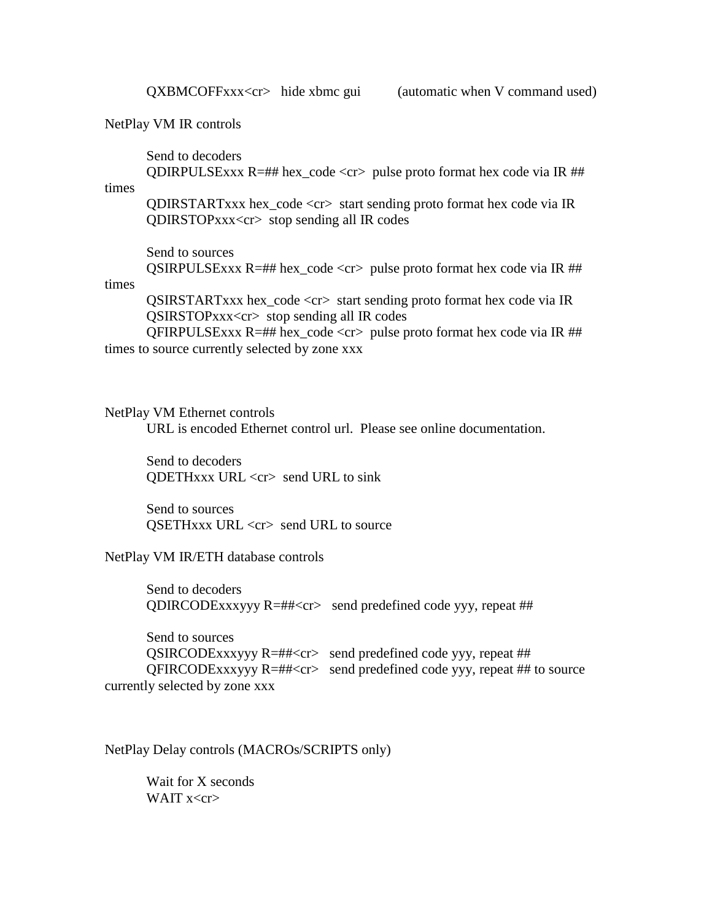NetPlay VM IR controls

Send to decoders

QDIRPULSExxx  $R=\#H$  hex\_code <cr> pulse proto format hex code via IR  $\#H$ times

QDIRSTARTxxx hex\_code <cr> start sending proto format hex code via IR QDIRSTOPxxx<cr> stop sending all IR codes

Send to sources QSIRPULSExxx  $R = ## hex\_code < cr$  pulse proto format hex code via IR  $##$ 

#### times

QSIRSTARTxxx hex\_code <cr> start sending proto format hex code via IR QSIRSTOPxxx<cr> stop sending all IR codes

QFIRPULSExxx  $R = ##$  hex\_code <cr> pulse proto format hex code via IR  $##$ times to source currently selected by zone xxx

#### NetPlay VM Ethernet controls

URL is encoded Ethernet control url. Please see online documentation.

Send to decoders QDETHxxx URL <cr> send URL to sink

Send to sources QSETHxxx URL <cr> send URL to source

NetPlay VM IR/ETH database controls

Send to decoders QDIRCODExxxyyy  $R = ## < cr$  send predefined code yyy, repeat ##

Send to sources QSIRCODExxxyyy R=##<cr> send predefined code yyy, repeat ## QFIRCODExxxyyy R=##<cr> send predefined code yyy, repeat ## to source currently selected by zone xxx

NetPlay Delay controls (MACROs/SCRIPTS only)

Wait for X seconds WAIT  $x < c$ r $>$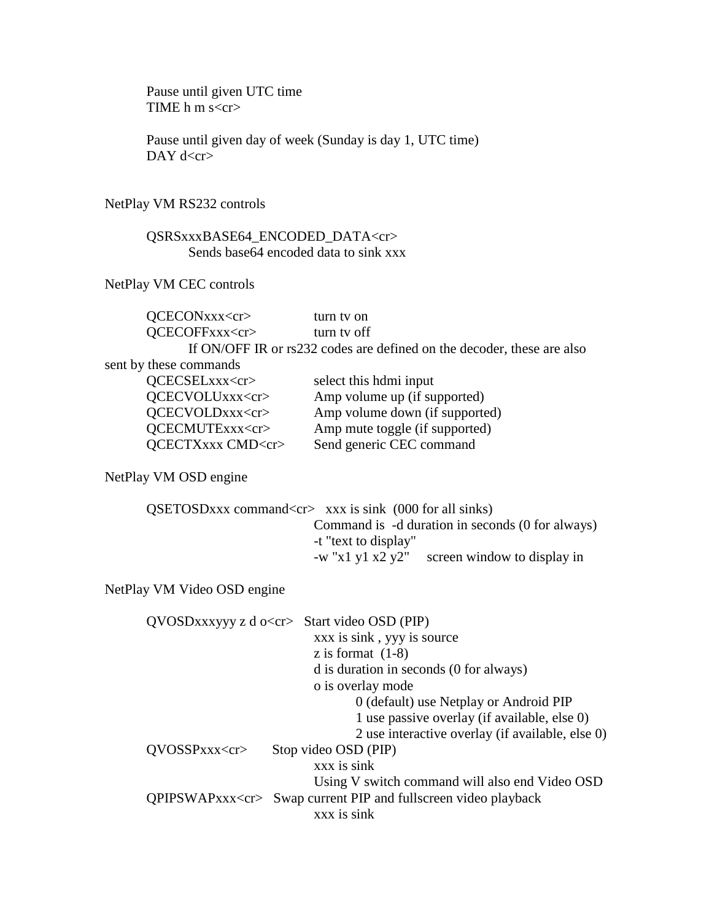Pause until given UTC time TIME h m s<cr>

Pause until given day of week (Sunday is day 1, UTC time) DAY  $d < c r >$ 

## NetPlay VM RS232 controls

## QSRSxxxBASE64\_ENCODED\_DATA<cr> Sends base 64 encoded data to sink  $\overline{xx}$

NetPlay VM CEC controls

| QCECONxxx <cr></cr>    | turn tv on                                                             |
|------------------------|------------------------------------------------------------------------|
| QCECOFFxxx <cr></cr>   | turn tv off                                                            |
|                        | If ON/OFF IR or rs232 codes are defined on the decoder, these are also |
| sent by these commands |                                                                        |
| QCECSELxxx <cr></cr>   | select this hdmi input                                                 |
| QCECVOLUxxx <cr></cr>  | Amp volume up (if supported)                                           |
| QCECVOLDxxx <cr></cr>  | Amp volume down (if supported)                                         |
| QCECMUTExxx <cr></cr>  | Amp mute toggle (if supported)                                         |

QCECTXxxx CMD<cr>Send generic CEC command

NetPlay VM OSD engine

| $QSETOSDxxx$ command $\langle cr \rangle$ xxx is sink (000 for all sinks) |
|---------------------------------------------------------------------------|
| Command is -d duration in seconds (0 for always)                          |
| -t "text to display"                                                      |
| screen window to display in<br>$-w$ "x1 y1 x2 y2"                         |

NetPlay VM Video OSD engine

|                | $QVOSDxxxyyy z d o < c r$ Start video OSD (PIP)                      |
|----------------|----------------------------------------------------------------------|
|                | xxx is sink, yyy is source                                           |
|                | z is format $(1-8)$                                                  |
|                | d is duration in seconds (0 for always)                              |
|                | o is overlay mode                                                    |
|                | 0 (default) use Netplay or Android PIP                               |
|                | 1 use passive overlay (if available, else 0)                         |
|                | 2 use interactive overlay (if available, else 0)                     |
| QVOSSPxx < cr> | Stop video OSD (PIP)                                                 |
|                | xxx is sink                                                          |
|                | Using V switch command will also end Video OSD                       |
|                | QPIPSWAPxxx <cr> Swap current PIP and fullscreen video playback</cr> |
|                | xxx is sink                                                          |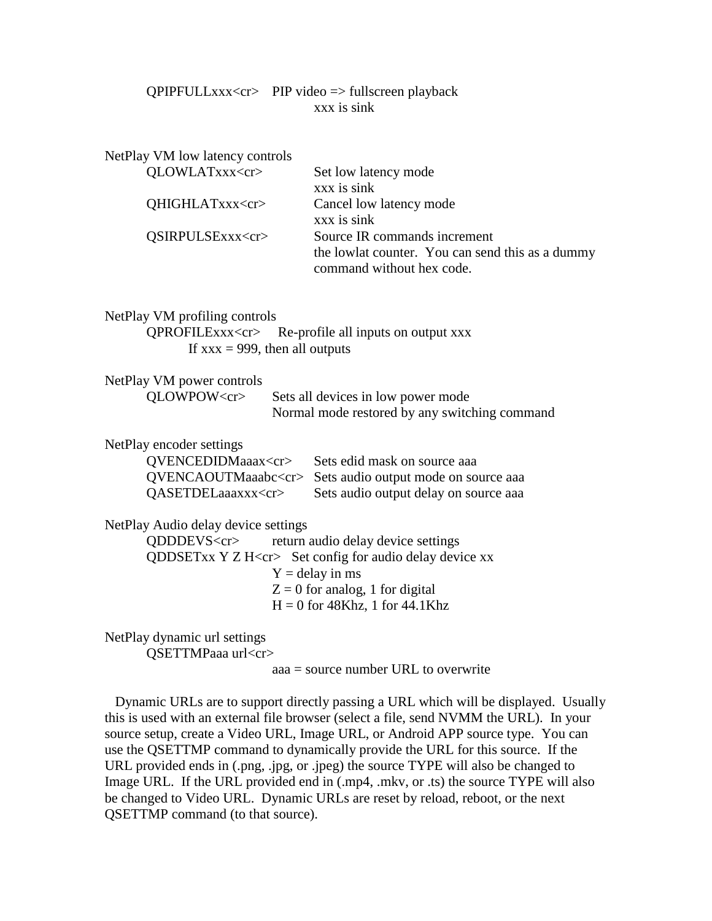## QPIPFULLxxx<cr> PIP video => fullscreen playback xxx is sink

| NetPlay VM low latency controls                          |                                                                               |  |
|----------------------------------------------------------|-------------------------------------------------------------------------------|--|
| QLOWLATxxx <cr></cr>                                     | Set low latency mode                                                          |  |
|                                                          | xxx is sink                                                                   |  |
| QHIGHLATxxx <cr></cr>                                    | Cancel low latency mode                                                       |  |
|                                                          | xxx is sink                                                                   |  |
| QSIRPULSExxx <cr></cr>                                   | Source IR commands increment                                                  |  |
|                                                          | the lowlat counter. You can send this as a dummy<br>command without hex code. |  |
| NetPlay VM profiling controls                            |                                                                               |  |
|                                                          | QPROFILExxx <cr> Re-profile all inputs on output xxx</cr>                     |  |
| If $xxx = 999$ , then all outputs                        |                                                                               |  |
| NetPlay VM power controls                                |                                                                               |  |
| QLOWPOW <cr></cr>                                        | Sets all devices in low power mode                                            |  |
|                                                          | Normal mode restored by any switching command                                 |  |
| NetPlay encoder settings                                 |                                                                               |  |
| QVENCEDIDMaaax <cr></cr>                                 | Sets edid mask on source aaa                                                  |  |
| QVENCAOUTMaaabc <cr></cr>                                | Sets audio output mode on source aaa                                          |  |
| QASETDELaaaxxx <cr></cr>                                 | Sets audio output delay on source aaa                                         |  |
| NetPlay Audio delay device settings                      |                                                                               |  |
| QDDDEVS <cr></cr>                                        | return audio delay device settings                                            |  |
|                                                          | QDDSETxx Y Z H <cr> Set config for audio delay device xx</cr>                 |  |
|                                                          | $Y =$ delay in ms                                                             |  |
|                                                          | $Z = 0$ for analog, 1 for digital                                             |  |
|                                                          | $H = 0$ for 48Khz, 1 for 44.1Khz                                              |  |
| NetPlay dynamic url settings<br>QSETTMPaaa url <cr></cr> |                                                                               |  |

aaa = source number URL to overwrite

 Dynamic URLs are to support directly passing a URL which will be displayed. Usually this is used with an external file browser (select a file, send NVMM the URL). In your source setup, create a Video URL, Image URL, or Android APP source type. You can use the QSETTMP command to dynamically provide the URL for this source. If the URL provided ends in (.png, .jpg, or .jpeg) the source TYPE will also be changed to Image URL. If the URL provided end in (.mp4, .mkv, or .ts) the source TYPE will also be changed to Video URL. Dynamic URLs are reset by reload, reboot, or the next QSETTMP command (to that source).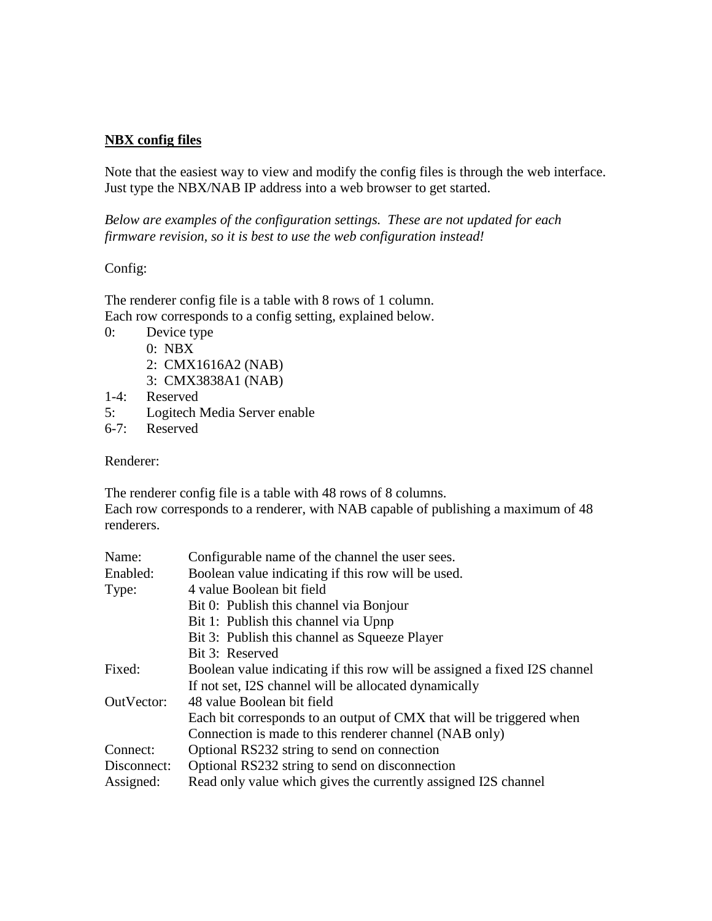## **NBX config files**

Note that the easiest way to view and modify the config files is through the web interface. Just type the NBX/NAB IP address into a web browser to get started.

*Below are examples of the configuration settings. These are not updated for each firmware revision, so it is best to use the web configuration instead!*

## Config:

The renderer config file is a table with 8 rows of 1 column. Each row corresponds to a config setting, explained below.

- 0: Device type
	- 0: NBX
	- 2: CMX1616A2 (NAB)
	- 3: CMX3838A1 (NAB)
- 1-4: Reserved
- 5: Logitech Media Server enable
- 6-7: Reserved

Renderer:

The renderer config file is a table with 48 rows of 8 columns.

Each row corresponds to a renderer, with NAB capable of publishing a maximum of 48 renderers.

| Name:       | Configurable name of the channel the user sees.                           |
|-------------|---------------------------------------------------------------------------|
| Enabled:    | Boolean value indicating if this row will be used.                        |
| Type:       | 4 value Boolean bit field                                                 |
|             | Bit 0: Publish this channel via Bonjour                                   |
|             | Bit 1: Publish this channel via Upnp                                      |
|             | Bit 3: Publish this channel as Squeeze Player                             |
|             | Bit 3: Reserved                                                           |
| Fixed:      | Boolean value indicating if this row will be assigned a fixed I2S channel |
|             | If not set, I2S channel will be allocated dynamically                     |
| OutVector:  | 48 value Boolean bit field                                                |
|             | Each bit corresponds to an output of CMX that will be triggered when      |
|             | Connection is made to this renderer channel (NAB only)                    |
| Connect:    | Optional RS232 string to send on connection                               |
| Disconnect: | Optional RS232 string to send on disconnection                            |
| Assigned:   | Read only value which gives the currently assigned I2S channel            |